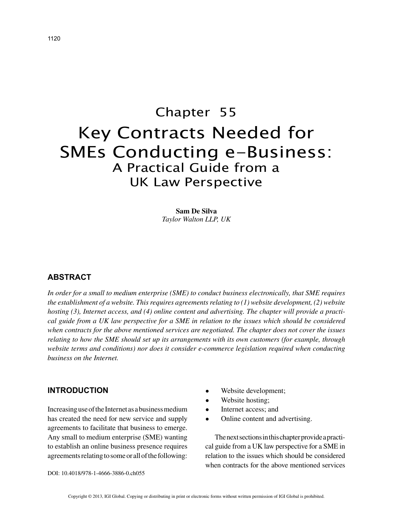# Chapter 55 Key Contracts Needed for SMEs Conducting e-Business: A Practical Guide from a UK Law Perspective

**Sam De Silva** *Taylor Walton LLP, UK*

### **ABSTRACT**

*In order for a small to medium enterprise (SME) to conduct business electronically, that SME requires the establishment of a website. This requires agreements relating to (1) website development, (2) website hosting (3), Internet access, and (4) online content and advertising. The chapter will provide a practical guide from a UK law perspective for a SME in relation to the issues which should be considered when contracts for the above mentioned services are negotiated. The chapter does not cover the issues relating to how the SME should set up its arrangements with its own customers (for example, through website terms and conditions) nor does it consider e-commerce legislation required when conducting business on the Internet.*

#### **INTRODUCTION**

Increasing use of the Internet as a business medium has created the need for new service and supply agreements to facilitate that business to emerge. Any small to medium enterprise (SME) wanting to establish an online business presence requires agreements relating to some or all of the following:

- Website development;
- Website hosting;
- Internet access; and
- Online content and advertising.

The next sections in this chapter provide a practical guide from a UK law perspective for a SME in relation to the issues which should be considered when contracts for the above mentioned services

DOI: 10.4018/978-1-4666-3886-0.ch055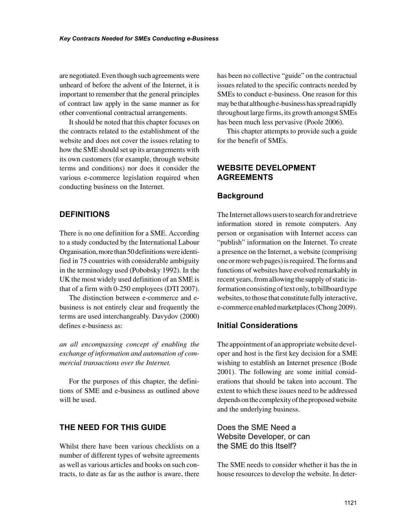are negotiated. Even though such agreements were unheard of before the advent of the Internet, it is important to remember that the general principles of contract law apply in the same manner as for other conventional contractual arrangements.

It should be noted that this chapter focuses on the contracts related to the establishment of the website and does not cover the issues relating to how the SME should set up its arrangements with its own customers (for example, through website terms and conditions) nor does it consider the various e-commerce legislation required when conducting business on the Internet.

# **DEFINITIONS**

There is no one definition for a SME. According to a study conducted by the International Labour Organisation, more than 50 definitions were identified in 75 countries with considerable ambiguity in the terminology used (Pobobsky 1992). In the UK the most widely used definition of an SME is that of a firm with 0-250 employees (DTI 2007).

The distinction between e-commerce and ebusiness is not entirely clear and frequently the terms are used interchangeably. Davydov (2000) defines e-business as:

*an all encompassing concept of enabling the exchange of information and automation of commercial transactions over the Internet.* 

For the purposes of this chapter, the definitions of SME and e-business as outlined above will be used.

# **THE NEED FOR THIS GUIDE**

Whilst there have been various checklists on a number of different types of website agreements as well as various articles and books on such contracts, to date as far as the author is aware, there has been no collective "guide" on the contractual issues related to the specific contracts needed by SMEs to conduct e-business. One reason for this may be that although e-business has spread rapidly throughout large firms, its growth amongst SMEs has been much less pervasive (Poole 2006).

This chapter attempts to provide such a guide for the benefit of SMEs.

#### **WEBSITE DEVELOPMENT AGREEMENTS**

#### **Background**

The Internet allows users to search for and retrieve information stored in remote computers. Any person or organisation with Internet access can "publish" information on the Internet. To create a presence on the Internet, a website (comprising one or more web pages) is required. The forms and functions of websites have evolved remarkably in recent years, from allowing the supply of static information consisting of text only, to billboard type websites, to those that constitute fully interactive, e-commerce enabled marketplaces (Chong 2009).

#### **Initial Considerations**

The appointment of an appropriate website developer and host is the first key decision for a SME wishing to establish an Internet presence (Bode 2001). The following are some initial considerations that should be taken into account. The extent to which these issues need to be addressed depends on the complexity of the proposed website and the underlying business.

Does the SME Need a Website Developer, or can the SME do this Itself?

The SME needs to consider whether it has the in house resources to develop the website. In deter